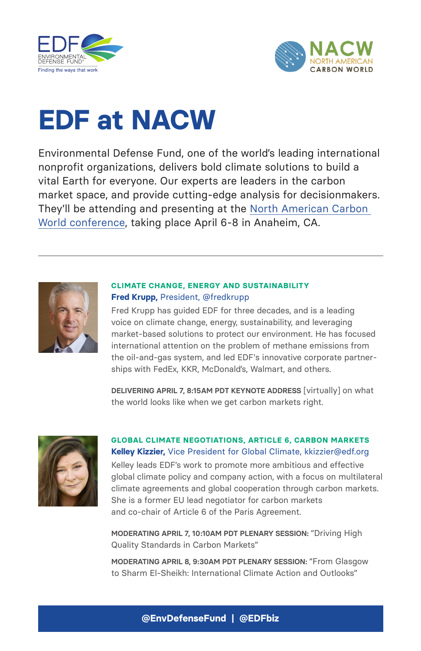



# **EDF at NACW**

Environmental Defense Fund, one of the world's leading international nonprofit organizations, delivers bold climate solutions to build a vital Earth for everyone. Our experts are leaders in the carbon market space, and provide cutting-edge analysis for decisionmakers. They'll be attending and presenting at the [North American Carbon](https://www.nacwconference.com/)  [World conference,](https://www.nacwconference.com/) taking place April 6-8 in Anaheim, CA.



#### **CLIMATE CHANGE, ENERGY AND SUSTAINABILITY Fred Krupp,** President, [@fredkrupp](https://twitter.com/FredKrupp?ref_src=twsrc%5Egoogle%7Ctwcamp%5Eserp%7Ctwgr%5Eauthor)

Fred Krupp has guided EDF for three decades, and is a leading voice on climate change, energy, sustainability, and leveraging market-based solutions to protect our environment. He has focused international attention on the problem of methane emissions from the oil-and-gas system, and led EDF's innovative corporate partnerships with FedEx, KKR, McDonald's, Walmart, and others.

**DELIVERING APRIL 7, 8:15AM PDT KEYNOTE ADDRESS** [virtually] on what the world looks like when we get carbon markets right.



### **GLOBAL CLIMATE NEGOTIATIONS, ARTICLE 6, CARBON MARKETS Kelley Kizzier,** Vice President for Global Climate, [kkizzier@edf.org](mailto:kkizzier%40edf.org?subject=)

Kelley leads EDF's work to promote more ambitious and effective global climate policy and company action, with a focus on multilateral climate agreements and global cooperation through carbon markets. She is a former EU lead negotiator for carbon markets and co-chair of Article 6 of the Paris Agreement.

**MODERATING APRIL 7, 10:10AM PDT PLENARY SESSION:** "Driving High Quality Standards in Carbon Markets"

**MODERATING APRIL 8, 9:30AM PDT PLENARY SESSION:** "From Glasgow to Sharm El-Sheikh: International Climate Action and Outlooks"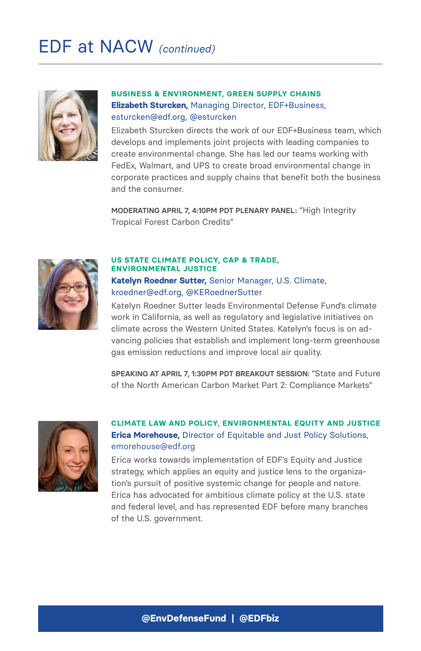# EDF at NACW *(continued)*



#### **BUSINESS & ENVIRONMENT, GREEN SUPPLY CHAINS Elizabeth Sturcken,** Managing Director, EDF+Business, [esturcken@edf.org](mailto:esturcken%40edf.org?subject=), [@esturcken](https://twitter.com/esturcken?lang=en)

Elizabeth Sturcken directs the work of our EDF+Business team, which develops and implements joint projects with leading companies to create environmental change. She has led our teams working with FedEx, Walmart, and UPS to create broad environmental change in corporate practices and supply chains that benefit both the business and the consumer.

**MODERATING APRIL 7, 4:10PM PDT PLENARY PANEL:** "High Integrity Tropical Forest Carbon Credits"



#### **US STATE CLIMATE POLICY, CAP & TRADE, ENVIRONMENTAL JUSTICE Katelyn Roedner Sutter,** Senior Manager, U.S. Climate, [kroedner@edf.org,](mailto:kroedner%40edf.org?subject=) [@KERoednerSutter](https://twitter.com/keroednersutter?lang=en)

Katelyn Roedner Sutter leads Environmental Defense Fund's climate work in California, as well as regulatory and legislative initiatives on climate across the Western United States. Katelyn's focus is on advancing policies that establish and implement long-term greenhouse gas emission reductions and improve local air quality.

**SPEAKING AT APRIL 7, 1:30PM PDT BREAKOUT SESSION:** "State and Future of the North American Carbon Market Part 2: Compliance Markets"



### **CLIMATE LAW AND POLICY, ENVIRONMENTAL EQUITY AND JUSTICE Erica Morehouse,** Director of Equitable and Just Policy Solutions, [emorehouse@edf.org](mailto:emorehouse%40edf.org?subject=)

Erica works towards implementation of EDF's Equity and Justice strategy, which applies an equity and justice lens to the organization's pursuit of positive systemic change for people and nature. Erica has advocated for ambitious climate policy at the U.S. state and federal level, and has represented EDF before many branches of the U.S. government.